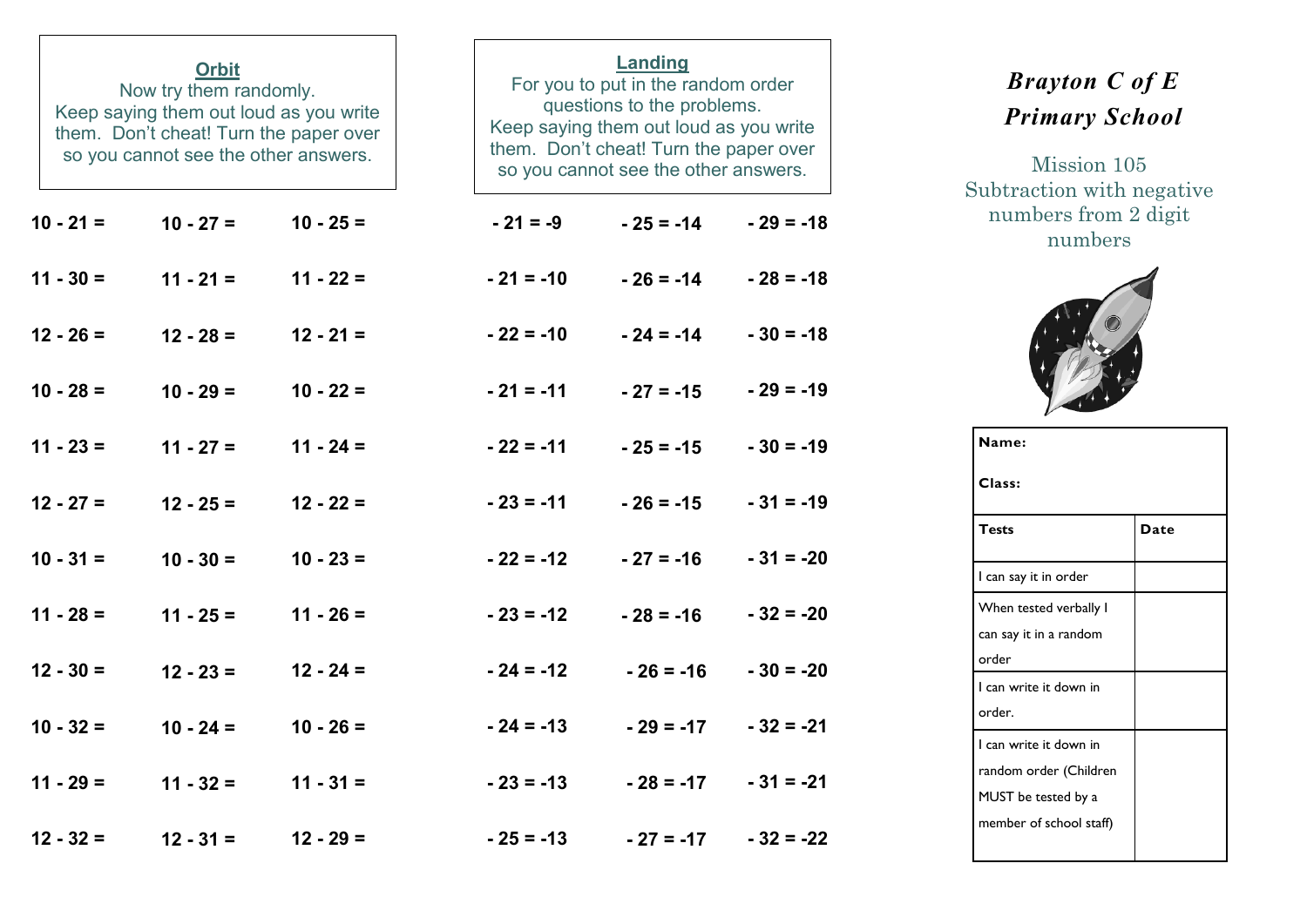| <b>Orbit</b><br>Now try them randomly.<br>Keep saying them out loud as you write<br>them. Don't cheat! Turn the paper over<br>so you cannot see the other answers. |                       |             | Landing<br>For you to put in the random order<br>questions to the problems.<br>Keep saying them out loud as you write<br>them. Don't cheat! Turn the paper over<br>so you cannot see the other answers. |                         |             |  |  |  |
|--------------------------------------------------------------------------------------------------------------------------------------------------------------------|-----------------------|-------------|---------------------------------------------------------------------------------------------------------------------------------------------------------------------------------------------------------|-------------------------|-------------|--|--|--|
| $10 - 21 =$                                                                                                                                                        | $10 - 27 =$           | $10 - 25 =$ | $-21 = -9$                                                                                                                                                                                              | $-25 = -14$             | $-29 = -18$ |  |  |  |
| $11 - 30 =$                                                                                                                                                        | $11 - 21 =$           | $11 - 22 =$ | $-21 = -10$                                                                                                                                                                                             | $-26 = -14$             | $-28 = -18$ |  |  |  |
| $12 - 26 =$                                                                                                                                                        | $12 - 28 =$           | $12 - 21 =$ | $-22 = -10$                                                                                                                                                                                             | $-24 = -14$             | $-30 = -18$ |  |  |  |
| $10 - 28 =$                                                                                                                                                        | $10 - 29 =$           | $10 - 22 =$ | $-21 = -11$                                                                                                                                                                                             | $-27 = -15$             | $-29 = -19$ |  |  |  |
| $11 - 23 =$                                                                                                                                                        | $11 - 27 =$           | $11 - 24 =$ | $-22 = -11$                                                                                                                                                                                             | $-25 = -15$             | $-30 = -19$ |  |  |  |
| $12 - 27 =$                                                                                                                                                        | $12 - 25 =$           | $12 - 22 =$ | $-23 = -11$                                                                                                                                                                                             | $-26 = -15$             | $-31 = -19$ |  |  |  |
| $10 - 31 =$                                                                                                                                                        | $10 - 30 =$           | $10 - 23 =$ | $-22 = -12$                                                                                                                                                                                             | $-27 = -16$             | $-31 = -20$ |  |  |  |
| $11 - 28 =$                                                                                                                                                        | $11 - 25 =$           | $11 - 26 =$ | $-23 = -12$                                                                                                                                                                                             | $-28 = -16$             | $-32 = -20$ |  |  |  |
| $12 - 30 =$                                                                                                                                                        | $12 - 23 =$           | $12 - 24 =$ | $-24 = -12$                                                                                                                                                                                             | $-26 = -16$             | $-30 = -20$ |  |  |  |
| $10 - 32 =$                                                                                                                                                        | $10 - 24 =$           | $10 - 26 =$ | $-24 = -13$                                                                                                                                                                                             | $-29 = -17$             | $-32 = -21$ |  |  |  |
| $11 - 29 =$                                                                                                                                                        | $11 - 32 = 11 - 31 =$ |             | $-23 = -13$                                                                                                                                                                                             | $-28 = -17$ $-31 = -21$ |             |  |  |  |
| $12 - 32 =$                                                                                                                                                        | $12 - 31 = 12 - 29 =$ |             | $-25 = -13$                                                                                                                                                                                             | $-27 = -17$ $-32 = -22$ |             |  |  |  |

## *Brayton C of E Primary School*

Mission 105 Subtraction with negative numbers from 2 digit numbers



| Name:                   |      |  |  |  |  |  |
|-------------------------|------|--|--|--|--|--|
| Class:                  |      |  |  |  |  |  |
| <b>Tests</b>            | Date |  |  |  |  |  |
| I can say it in order   |      |  |  |  |  |  |
| When tested verbally I  |      |  |  |  |  |  |
| can say it in a random  |      |  |  |  |  |  |
| order                   |      |  |  |  |  |  |
| I can write it down in  |      |  |  |  |  |  |
| order.                  |      |  |  |  |  |  |
| I can write it down in  |      |  |  |  |  |  |
| random order (Children  |      |  |  |  |  |  |
| MUST be tested by a     |      |  |  |  |  |  |
| member of school staff) |      |  |  |  |  |  |
|                         |      |  |  |  |  |  |